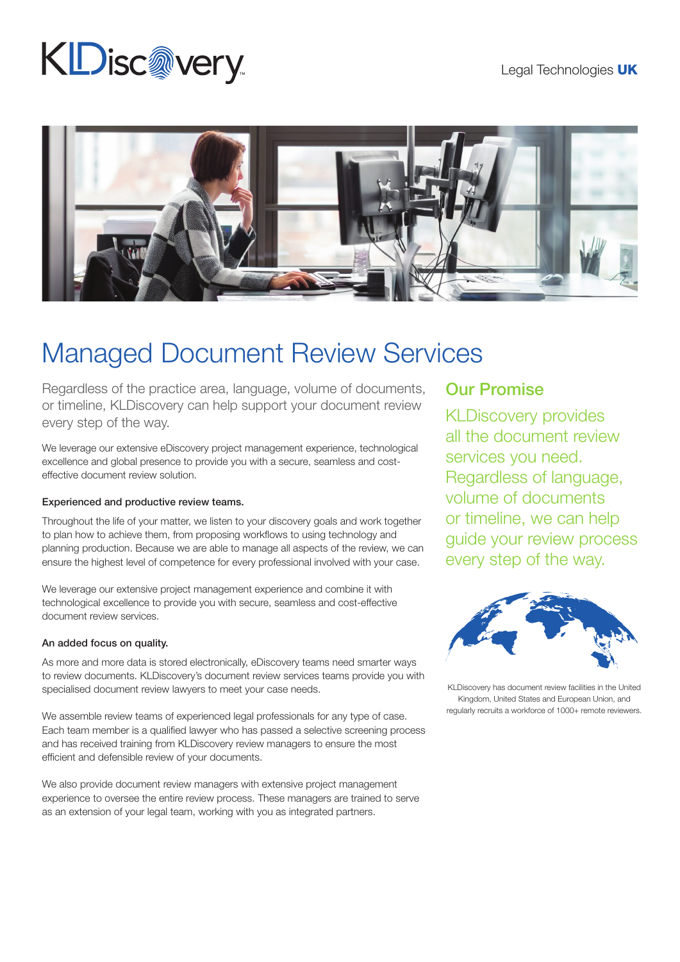# **KDisc@very**



## Managed Document Review Services

Regardless of the practice area, language, volume of documents, or timeline, KLDiscovery can help support your document review every step of the way.

We leverage our extensive eDiscovery project management experience, technological excellence and global presence to provide you with a secure, seamless and costeffective document review solution.

#### Experienced and productive review teams.

Throughout the life of your matter, we listen to your discovery goals and work together to plan how to achieve them, from proposing workflows to using technology and planning production. Because we are able to manage all aspects of the review, we can ensure the highest level of competence for every professional involved with your case.

We leverage our extensive project management experience and combine it with technological excellence to provide you with secure, seamless and cost-effective document review services.

#### An added focus on quality.

As more and more data is stored electronically, eDiscovery teams need smarter ways to review documents. KLDiscovery's document review services teams provide you with specialised document review lawyers to meet your case needs.

We assemble review teams of experienced legal professionals for any type of case. Each team member is a qualified lawyer who has passed a selective screening process and has received training from KLDiscovery review managers to ensure the most efficient and defensible review of your documents.

We also provide document review managers with extensive project management experience to oversee the entire review process. These managers are trained to serve as an extension of your legal team, working with you as integrated partners.

### Our Promise

KLDiscovery provides all the document review services you need. Regardless of language, volume of documents or timeline, we can help guide your review process every step of the way.



KLDiscovery has document review facilities in the United Kingdom, United States and European Union, and regularly recruits a workforce of 1000+ remote reviewers.